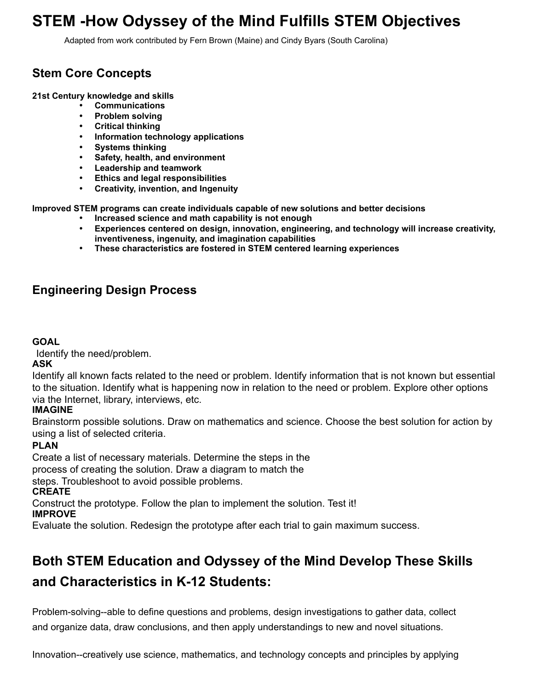# **STEM -How Odyssey of the Mind Fulfills STEM Objectives**

Adapted from work contributed by Fern Brown (Maine) and Cindy Byars (South Carolina)

## **Stem Core Concepts**

**21st Century knowledge and skills** 

- **Communications**
- **Problem solving**
- **Critical thinking**
- **Information technology applications**
- **Systems thinking**
- **Safety, health, and environment**
- **Leadership and teamwork**
- **Ethics and legal responsibilities**
- **Creativity, invention, and Ingenuity**

**Improved STEM programs can create individuals capable of new solutions and better decisions** 

- **Increased science and math capability is not enough**
- **Experiences centered on design, innovation, engineering, and technology will increase creativity, inventiveness, ingenuity, and imagination capabilities**
- **These characteristics are fostered in STEM centered learning experiences**

## **Engineering Design Process**

#### **GOAL**

Identify the need/problem.

#### **ASK**

Identify all known facts related to the need or problem. Identify information that is not known but essential to the situation. Identify what is happening now in relation to the need or problem. Explore other options via the Internet, library, interviews, etc.

#### **IMAGINE**

Brainstorm possible solutions. Draw on mathematics and science. Choose the best solution for action by using a list of selected criteria.

### **PLAN**

Create a list of necessary materials. Determine the steps in the

process of creating the solution. Draw a diagram to match the

steps. Troubleshoot to avoid possible problems.

### **CREATE**

Construct the prototype. Follow the plan to implement the solution. Test it!

#### **IMPROVE**

Evaluate the solution. Redesign the prototype after each trial to gain maximum success.

# **Both STEM Education and Odyssey of the Mind Develop These Skills and Characteristics in K-12 Students:**

Problem-solving--able to define questions and problems, design investigations to gather data, collect and organize data, draw conclusions, and then apply understandings to new and novel situations.

Innovation--creatively use science, mathematics, and technology concepts and principles by applying